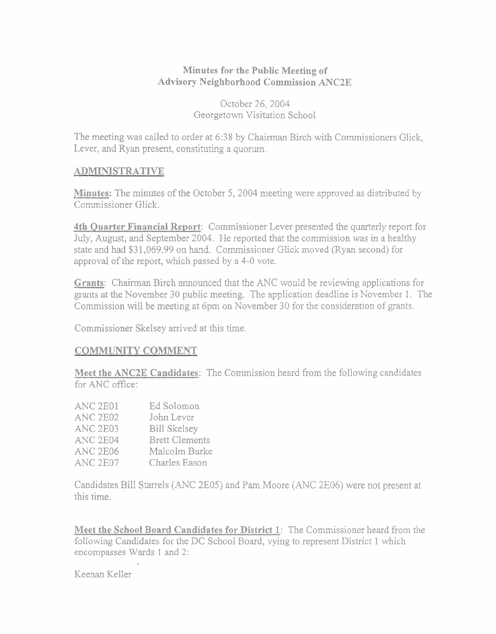#### **Minutes for the Public Meeting of Advisory Neighborhood Commission ANC2E**

October 26,2004 Georgetown Visitation School

The meeting was called to order at 638 by Chairman Birch with Commissioners Glick, Lever, and Ryan present, constituting a quorum.

#### **ADMINISTRATIVE**

**Minutes:** The minutes of the October 5, 2004 meeting were approved as distributed by Commissioner Glick.

**4th Quarter Financial Report:** Commissioner Lever presented the quarterly report for July, August, and September 2004. He reported that the commission was in a healthy state and had \$3 1,069.99 on hand. Commissioner Glick moved (Ryan second) for approval of the report, which passed by a 4-0 vote.

**Grants:** Chairman Birch announced that the ANC would be reviewing applications for grants at the November 30 public meeting. The application deadline is November 1. The Commission will be meeting at 6pm on November 30 for the consideration of grants.

Commissioner Skelsey arrived at this time.

#### **COMMUNITY COMMENT**

**Meet the ANC2E Candidates:** The Commission heard from the following candidates for  $ANC$  office:

| ANC <sub>2E01</sub> | Ed Solomon            |
|---------------------|-----------------------|
| <b>ANC 2E02</b>     | John Lever            |
| ANC <sub>2E03</sub> | <b>Bill Skelsey</b>   |
| ANC <sub>2E04</sub> | <b>Brett Clements</b> |
| <b>ANC 2E06</b>     | Malcolm Burke         |
| ANC <sub>2E07</sub> | Charles Eason         |

Candidates Bill Starrels (ANC 2E05) and Pam Moore (ANC 2E06) were not present at this time.

**Meet the School Board Candidates for District 1:** The Commissioner heard from the following Candidates for the DC School Board, vying to represent District 1 which encompasses Wards 1 and 2:

Keenan Keller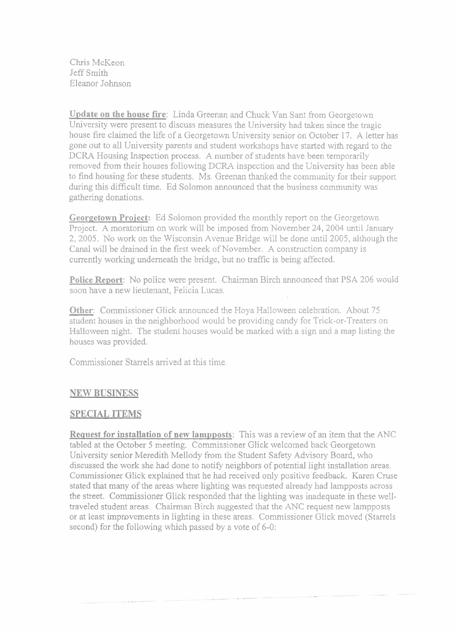Chris McKeon Jeff Smith Eleanor Johnson

**Update on the house fire:** Linda Greenan and Chuck Van Sant fiom Georgetown University were present to discuss measures the University had taken since the tragic house fire claimed the life of a Georgetown University senior on October 17. A letter has gone out to all University parents and student workshops have started with regard to the DCRA Housing Inspection process. A number of students have been temporarily removed from their houses following DCRA inspection and the University has been able to find housing for these students. Ms. Greenan thanked the community for their support during this difficult time. Ed Solomon announced that the business community was gathering donations.

**Georgetown Proiect:** Ed Solomon provided the monthly report on the Georgetown Project. A moratorium on work will be imposed from November 24,2004 until January 2,2005. No work on the Wisconsin Avenue Bridge will be done until 2005, although the Canal will be drained in the first week of November. A construction company is currently working underneath the bridge, but no traffic is being affected.

**Police Report:** No police were present. Chairman Birch announced that PSA 206 would soon have a new lieutenant, Felicia Lucas.

**Other:** Commissioner Glick announced the Hoya Halloween celebration. About 75 student houses in the neighborhood would be providing candy for Trick-or-Treaters on Halloween night. The student houses would be marked with a sign and a map listing the houses was provided.

Commissioner Starrels arrived at this time.

# **NEW BUSINESS**

# **SPECIAL ITEMS**

**Request for installation of new lampposts:** This was a review of an item that the ANC tabled at the October 5 meeting. Commissioner Glick welcomed back Georgetown University senior Meredith Mellody from the Student Safety Advisory Board, who discussed the work she had done to notify neighbors of potential light installation areas. Commissioner Glick explained that he had received only positive feedback. Karen Cruse stated that many of the areas where lighting was requested already had lampposts across the street. Commissioner Glick responded that the lighting was inadequate in these welltraveled student areas. Chairman Birch suggested that the ANC request new lampposts or at least improvements in lighting in these areas. Commissioner Glick moved (Starrels second) for the following which passed by a vote of 6-0: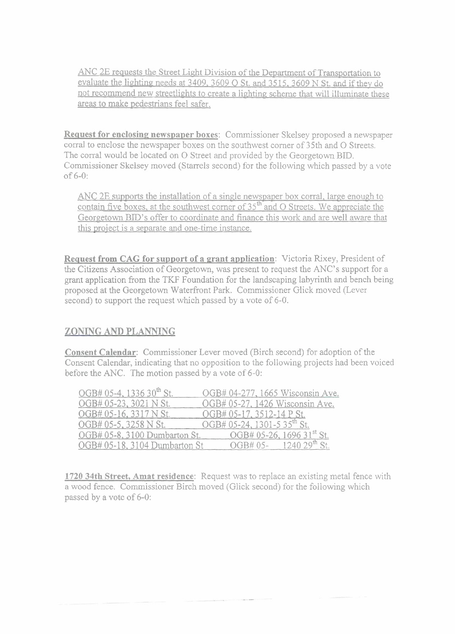ANC 2E requests the Street Light Division of the Department of Transportation to evaluate the lighting needs at 3409, 3609 O St. and 3515, 3609 N St. and if they do not recommend new streetlights to create a lighting scheme that will illuminate these areas to make pedestrians feel safer.

**Request for enclosing newspaper boxes:** Commissioner Skelsey proposed a newspaper corral to enclose the newspaper boxes on the southwest corner of 35th and O Streets. The corral would be located on 0 Street and provided by the Georgetown BID. Commissioner Skelsey moved (Starrels second) for the following which passed by a vote of 6-0:

ANC 2E supports the installation of a single newspaper box corral, large enough to contain five boxes, at the southwest corner of  $35<sup>th</sup>$  and O Streets. We appreciate the Georgetown BID'S offer to coordinate and finance this work and are well aware that this proiect is a separate and one-time instance.

**Request from CAG for support of a grant application:** Victoria Rixey, President of the Citizens Association of Georgetown, was present to request the ANC's support for a grant application from the TKF Foundation for the landscaping labyrinth and bench being proposed at the Georgetown Waterfront Park. Commissioner Glick moved (Lever second) to support the request which passed by a vote of 6-0.

# **ZONING AND PLANNING**

**Consent Calendar:** Commissioner Lever moved (Birch second) for adoption of the Consent Calendar, indicating that no opposition to the following projects had been voiced before the ANC. The motion passed by a vote of 6-0:

| OGB# 05-4, 1336 30 <sup>th</sup> St. | OGB# 04-277, 1665 Wisconsin Ave.        |
|--------------------------------------|-----------------------------------------|
| OGB# 05-23, 3021 N St.               | OGB# 05-27, 1426 Wisconsin Ave.         |
| OGB# 05-16, 3317 N St.               | OGB# 05-17, 3512-14 P St.               |
| OGB# 05-5, 3258 N St.                | OGB# 05-24, 1301-5 35 <sup>th</sup> St. |
| OGB# 05-8, 3100 Dumbarton St.        | OGB# 05-26, 1696 31 <sup>st</sup> St.   |
| OGB# 05-18, 3104 Dumbarton St        | OGB# 05- $124029^{\text{th}}$ St.       |

**1720 34th Street, Amat residence:** Request was to replace an existing metal fence with a wood fence. Commissioner Birch moved (Glick second) for the following which passed by a vote of 6-0: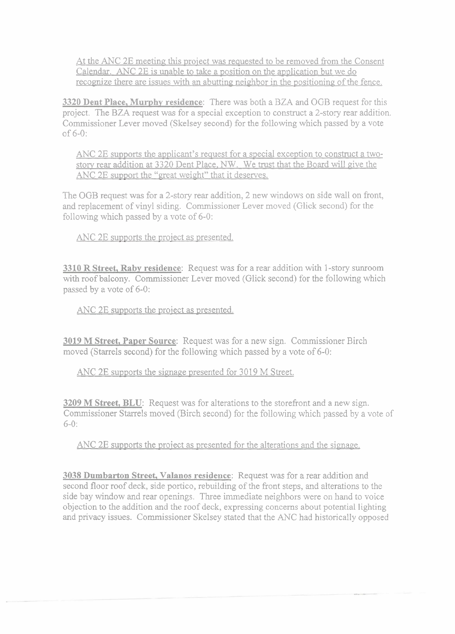At the ANC 2E meeting this proiect was requested to be removed from the Consent Calendar. **ANC** 2E is unable to take a position on the application but we do recognize there are issues with an abutting neighbor in the positioning of the fence.

**3320 Dent Place, Murphy residence:** There was both a BZA and OGB request for this project. The BZA request was for a special exception to construct a 2-story rear addition. Commissioner Lever moved (Skelsey second) for the following which passed by a vote of **6-0:** 

ANC 2E supports the applicant's request for a special exception to construct a twostory rear addition at 3329 Dent Place, NW. We trust that the Board will give the ANC 2E support the "great weight" that it deserves.

The OGB request was for a 2-story rear addition, 2 new windows on side wall on front, and replacement of vinyl siding. Commissioner Lever moved (Glick second) for the following which passed by a vote of **6-0:** 

ANC 2E supports the project as presented.

**3310 R Street, Raby residence:** Request was for a rear addition with 1 -story sunroom with roof balcony. Commissioner Lever moved (Glick second) for the following which passed by a vote of 6-0:

ANC 2E supports the proiect as presented.

**3019 M Street, Paper Source:** Request was for a new sign. Commissioner Birch moved (Starrels second) for the following which passed by a vote of 6-0:

ANC 2E supports the signage presented for 3019 M Street.

**3209 M Street, BLU:** Request was for alterations to the storefront and a new sign. Commissioner Starrels moved (Birch second) for the following which passed by a vote of **6-0:** 

ANC 2E supports the proiect as presented for the alterations and the signage.

**3038 Dumbarton Street, Valanos residence:** Request was for a rear addition and second floor roof deck, side portico, rebuilding of the front steps, and alterations to the side bay window and rear openings. Three immediate neighbors were on hand to voice objection to the addition and the roof deck, expressing concerns about potential lighting and privacy issues. Commissioner Skelsey stated that the ANC had historically opposed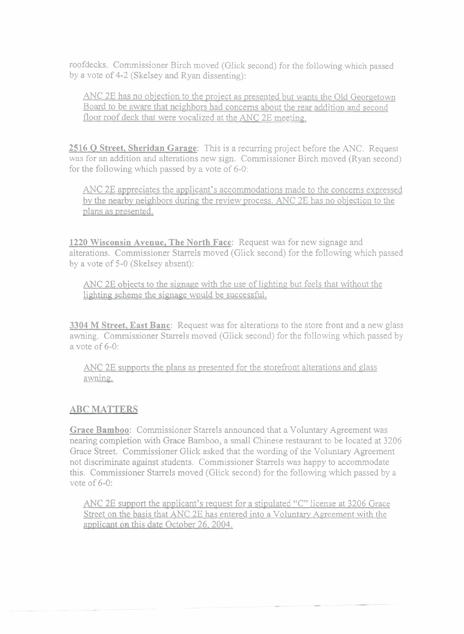roofdecks. Commissioner Birch moved (Glick second) for the following which passed by a vote of 4-2 (Skelsey and Ryan dissenting):

ANC 2E has no obiection to the proiect as presented but wants the Old Georgetown Board to be aware that neighbors had concerns about the rear addition and second floor roof deck that were vocalized at the ANC 2E meeting.

**2516 Q Street, Sheridan Garage:** This is a recurring project before the ANC. Request was for an addition and alterations new sign. Commissioner Birch moved (Ryan second) for the following which passed by a vote of **6-0:** 

ANC 2E appreciates the applicant's accommodations made to the concerns expressed by the nearby neighbors during the review process. ANC 2E has no obiection to the plans as presented.

**1220 Wisconsin Avenue, The North Face:** Request was for new signage and alterations. Commissioner Starrels moved (Glick second) for the following which passed by a vote of 5-0 (Skelsey absent):

ANC 2E objects to the signage with the use of lighting but feels that without the lighting scheme the signage would be successful.

**3304 M Street, East Banc:** Request was for alterations to the store front and a new glass awning. Commissioner Starrels moved (Glick second) for the following which passed by a vote of 6-0:

ANC 2E supports the plans as presented for the storefront alterations and glass awning.

### **ABC MATTERS**

**Grace Bamboo:** Commissioner Starrels announced that a Voluntary Agreement was nearing completion with Grace Bamboo, a small Chinese restaurant to be located at **3206**  Grace Street. Commissioner Glick asked that the wording of the Voluntary Agreement not discriminate against students. Commissioner Starrels was happy to accommodate this. Commissioner Starrels moved (Glick second) for the following which passed by a vote of 6-0:

ANC 2E support the applicant's request for a stipulated **"C"** license at 3206 Grace Street on the basis that ANC 2E has entered into a Voluntary Agreement with the applicant on this date October 26.2004.